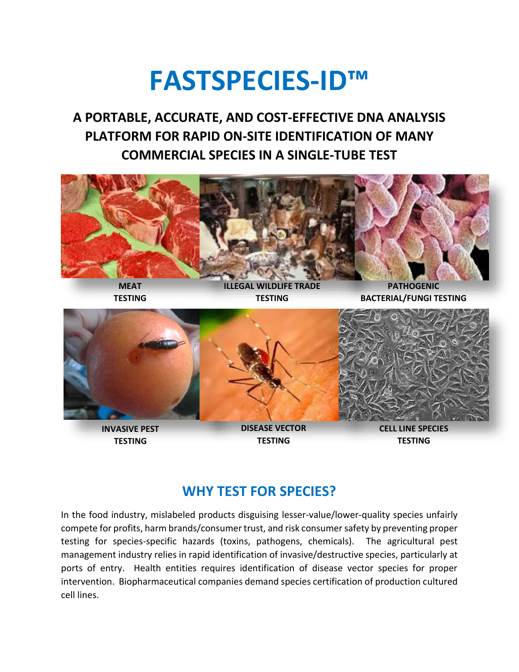# **FASTSPECIES-ID™**

**A PORTABLE, ACCURATE, AND COST-EFFECTIVE DNA ANALYSIS PLATFORM FOR RAPID ON-SITE IDENTIFICATION OF MANY COMMERCIAL SPECIES IN A SINGLE-TUBE TEST**





## **WHY TEST FOR SPECIES?**

In the food industry, mislabeled products disguising lesser-value/lower-quality species unfairly compete for profits, harm brands/consumer trust, and risk consumer safety by preventing proper testing for species-specific hazards (toxins, pathogens, chemicals). The agricultural pest management industry relies in rapid identification of invasive/destructive species, particularly at ports of entry. Health entities requires identification of disease vector species for proper intervention. Biopharmaceutical companies demand species certification of production cultured cell lines.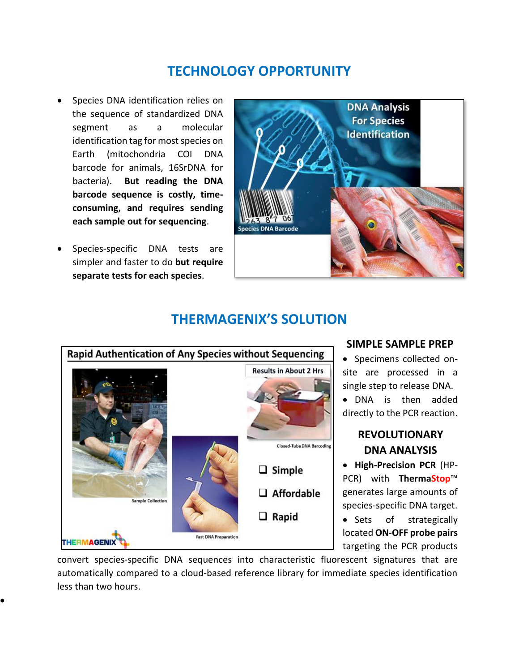## **TECHNOLOGY OPPORTUNITY**

- Species DNA identification relies on the sequence of standardized DNA segment as a molecular identification tag for most species on Earth (mitochondria COI DNA barcode for animals, 16SrDNA for bacteria). **But reading the DNA barcode sequence is costly, timeconsuming, and requires sending each sample out for sequencing**.
- Species-specific DNA tests are simpler and faster to do **but require separate tests for each species**.

•



### **THERMAGENIX'S SOLUTION**



#### **SIMPLE SAMPLE PREP**

• Specimens collected onsite are processed in a single step to release DNA.

• DNA is then added directly to the PCR reaction.

#### **REVOLUTIONARY DNA ANALYSIS**

• **High-Precision PCR** (HP-PCR) with **ThermaStop**™ generates large amounts of species-specific DNA target.

• Sets of strategically located **ON-OFF probe pairs** targeting the PCR products

convert species-specific DNA sequences into characteristic fluorescent signatures that are automatically compared to a cloud-based reference library for immediate species identification less than two hours.